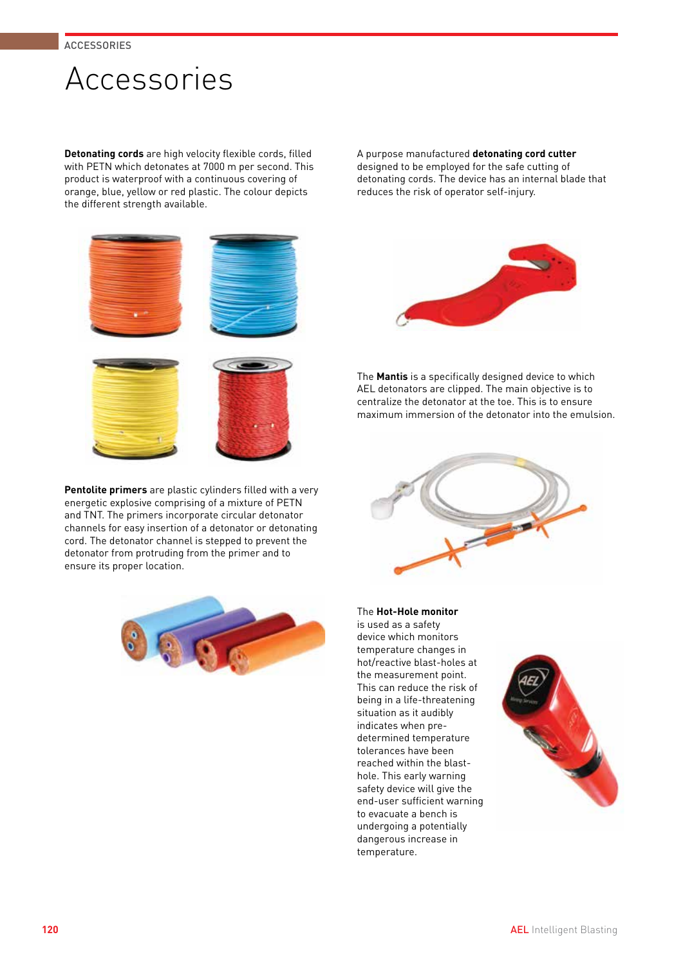

**Detonating cords** are high velocity flexible cords, filled with PETN which detonates at 7000 m per second. This product is waterproof with a continuous covering of orange, blue, yellow or red plastic. The colour depicts the different strength available.

**Pentolite primers** are plastic cylinders filled with a very energetic explosive comprising of a mixture of PETN and TNT. The primers incorporate circular detonator channels for easy insertion of a detonator or detonating cord. The detonator channel is stepped to prevent the detonator from protruding from the primer and to ensure its proper location.



A purpose manufactured **detonating cord cutter** designed to be employed for the safe cutting of detonating cords. The device has an internal blade that reduces the risk of operator self-injury.



The **Mantis** is a specifically designed device to which AEL detonators are clipped. The main objective is to centralize the detonator at the toe. This is to ensure maximum immersion of the detonator into the emulsion.



The **Hot-Hole monitor** is used as a safety device which monitors temperature changes in hot/reactive blast-holes at the measurement point. This can reduce the risk of being in a life-threatening situation as it audibly indicates when predetermined temperature tolerances have been reached within the blasthole. This early warning safety device will give the end-user sufficient warning to evacuate a bench is undergoing a potentially dangerous increase in temperature.

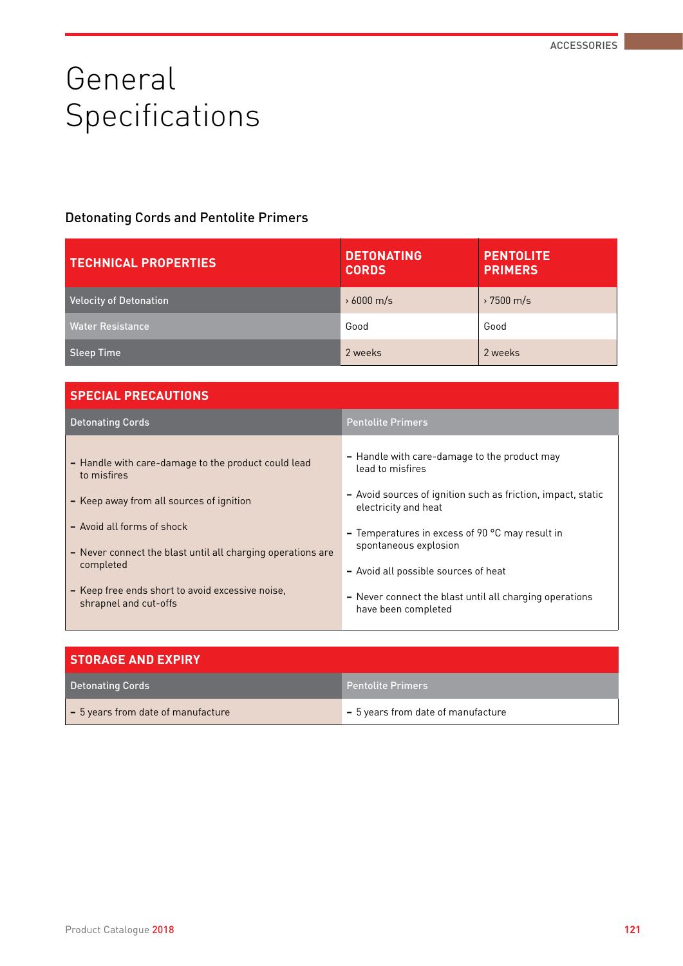# General Specifications

#### Detonating Cords and Pentolite Primers

| <b>TECHNICAL PROPERTIES</b> | <b>DETONATING</b><br><b>CORDS</b> | <b>PENTOLITE</b><br><b>PRIMERS</b> |
|-----------------------------|-----------------------------------|------------------------------------|
| Velocity of Detonation      | $\rightarrow 6000$ m/s            | $\rightarrow$ 7500 m/s             |
| Water Resistance            | Good                              | Good                               |
| Sleep Time                  | 2 weeks                           | 2 weeks                            |

| <b>SPECIAL PRECAUTIONS</b>                                                                                                                                                                                                                                                                            |                                                                                                                                                                                                                                                                                                                                                                          |
|-------------------------------------------------------------------------------------------------------------------------------------------------------------------------------------------------------------------------------------------------------------------------------------------------------|--------------------------------------------------------------------------------------------------------------------------------------------------------------------------------------------------------------------------------------------------------------------------------------------------------------------------------------------------------------------------|
| <b>Detonating Cords</b>                                                                                                                                                                                                                                                                               | <b>Pentolite Primers</b>                                                                                                                                                                                                                                                                                                                                                 |
| - Handle with care-damage to the product could lead<br>to misfires<br>- Keep away from all sources of ignition<br>- Avoid all forms of shock<br>- Never connect the blast until all charging operations are<br>completed<br>- Keep free ends short to avoid excessive noise,<br>shrapnel and cut-offs | - Handle with care-damage to the product may<br>lead to misfires<br>- Avoid sources of ignition such as friction, impact, static<br>electricity and heat<br>- Temperatures in excess of 90 $^{\circ}$ C may result in<br>spontaneous explosion<br>- Avoid all possible sources of heat<br>- Never connect the blast until all charging operations<br>have been completed |
|                                                                                                                                                                                                                                                                                                       |                                                                                                                                                                                                                                                                                                                                                                          |

| <b>STORAGE AND EXPIRY</b>                  |                                    |  |  |  |  |
|--------------------------------------------|------------------------------------|--|--|--|--|
| Detonating Cords                           | <b>Pentolite Primers</b>           |  |  |  |  |
| $\vert$ - 5 years from date of manufacture | - 5 years from date of manufacture |  |  |  |  |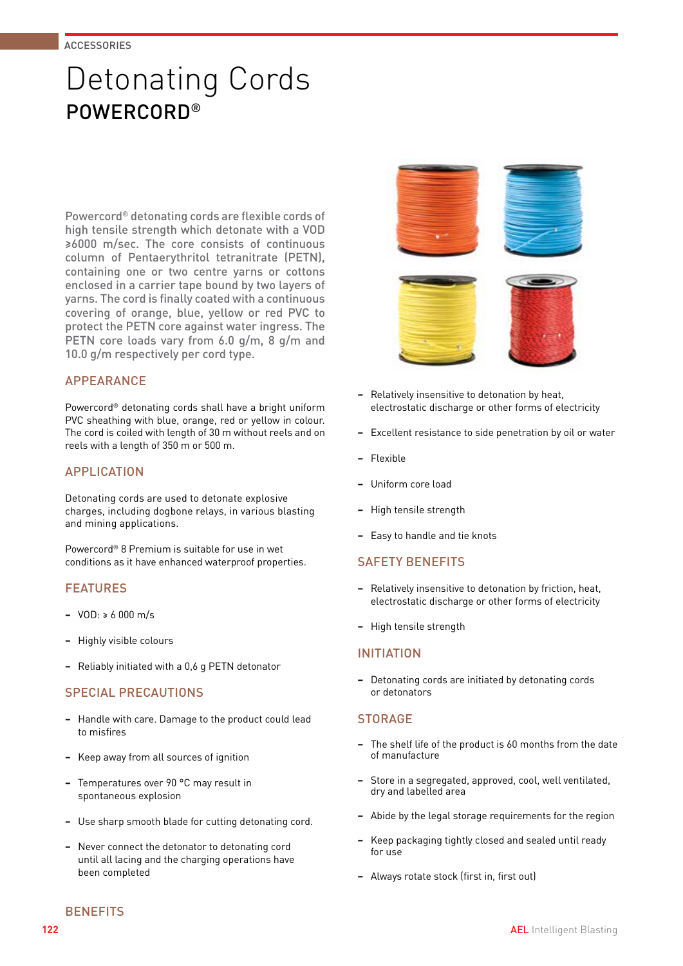### Detonating Cords POWERCORD®

Powercord® detonating cords are flexible cords of high tensile strength which detonate with a VOD ≥6000 m/sec. The core consists of continuous column of Pentaerythritol tetranitrate (PETN), containing one or two centre yarns or cottons enclosed in a carrier tape bound by two layers of yarns. The cord is finally coated with a continuous covering of orange, blue, yellow or red PVC to protect the PETN core against water ingress. The PETN core loads vary from 6.0 g/m, 8 g/m and 10.0 g/m respectively per cord type.

#### **APPEARANCE**

Powercord® detonating cords shall have a bright uniform PVC sheathing with blue, orange, red or yellow in colour. The cord is coiled with length of 30 m without reels and on reels with a length of 350 m or 500 m.

#### APPLICATION

Detonating cords are used to detonate explosive charges, including dogbone relays, in various blasting and mining applications.

Powercord® 8 Premium is suitable for use in wet conditions as it have enhanced waterproof properties.

#### FEATURES

- **−** VOD: ≥ 6 000 m/s
- **−** Highly visible colours
- **−** Reliably initiated with a 0,6 g PETN detonator

#### SPECIAL PRECAUTIONS

- **−** Handle with care. Damage to the product could lead to misfires
- **−** Keep away from all sources of ignition
- **−** Temperatures over 90 °C may result in spontaneous explosion
- **−** Use sharp smooth blade for cutting detonating cord.
- **−** Never connect the detonator to detonating cord until all lacing and the charging operations have been completed



- **−** Relatively insensitive to detonation by heat, electrostatic discharge or other forms of electricity
- Excellent resistance to side penetration by oil or water
- **−** Flexible
- **−** Uniform core load
- **−** High tensile strength
- **−** Easy to handle and tie knots

#### SAFETY BENEFITS

- **−** Relatively insensitive to detonation by friction, heat, electrostatic discharge or other forms of electricity
- **−** High tensile strength

#### INITIATION

**−** Detonating cords are initiated by detonating cords or detonators

#### **STORAGE**

- **−** The shelf life of the product is 60 months from the date of manufacture
- **−** Store in a segregated, approved, cool, well ventilated, dry and labelled area
- **−** Abide by the legal storage requirements for the region
- **−** Keep packaging tightly closed and sealed until ready for use
- **−** Always rotate stock (first in, first out)

**BENEFITS**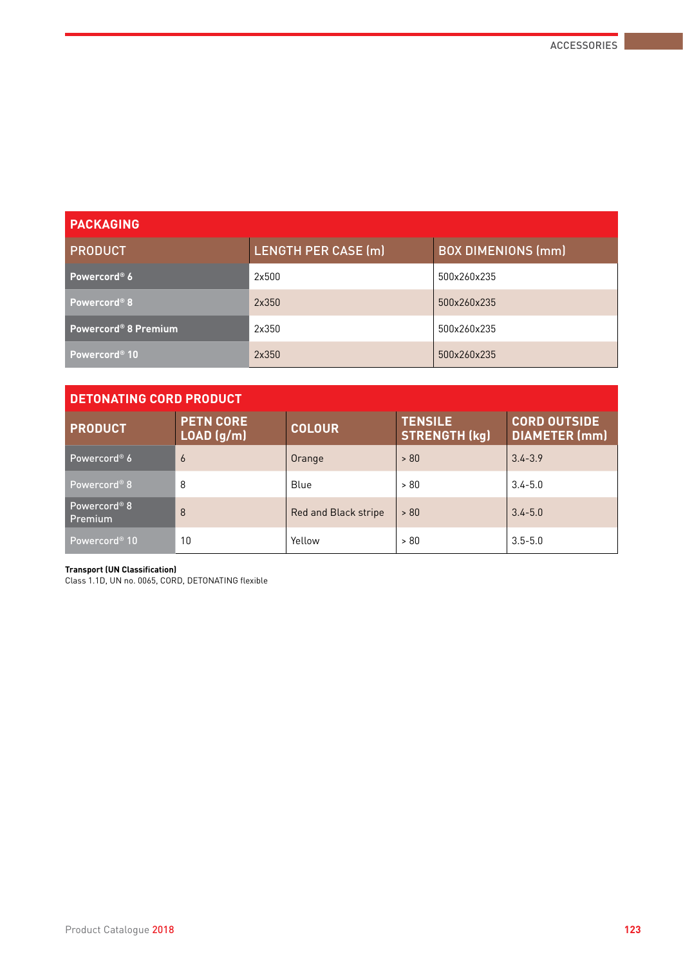| <b>PACKAGING</b>                 |                            |                           |
|----------------------------------|----------------------------|---------------------------|
| <b>PRODUCT</b>                   | <b>LENGTH PER CASE (m)</b> | <b>BOX DIMENIONS (mm)</b> |
| Powercord <sup>®</sup> 6         | 2x500                      | 500x260x235               |
| Powercord <sup>®</sup> 8         | 2x350                      | 500x260x235               |
| Powercord <sup>®</sup> 8 Premium | 2x350                      | 500x260x235               |
| Powercord <sup>®</sup> 10        | 2x350                      | 500x260x235               |

### **DETONATING CORD PRODUCT**

| <b>PRODUCT</b>                 | <b>PETN CORE</b><br>LOAD (g/m) | <b>COLOUR</b>        | <b>TENSILE</b><br><b>STRENGTH (kg)</b> | <b>CORD OUTSIDE</b><br><b>DIAMETER (mm)</b> |  |  |  |  |
|--------------------------------|--------------------------------|----------------------|----------------------------------------|---------------------------------------------|--|--|--|--|
| Powercord <sup>®</sup> 6       | 6                              | Orange               | > 80                                   | $3.4 - 3.9$                                 |  |  |  |  |
| Powercord <sup>®</sup> 8       | 8                              | Blue                 | > 80                                   | $3.4 - 5.0$                                 |  |  |  |  |
| Powercord® 8<br><b>Premium</b> | 8                              | Red and Black stripe | > 80                                   | $3.4 - 5.0$                                 |  |  |  |  |
| Powercord <sup>®</sup> 10      | 10                             | Yellow               | > 80                                   | $3.5 - 5.0$                                 |  |  |  |  |

#### **Transport (UN Classification)**

Class 1.1D, UN no. 0065, CORD, DETONATING flexible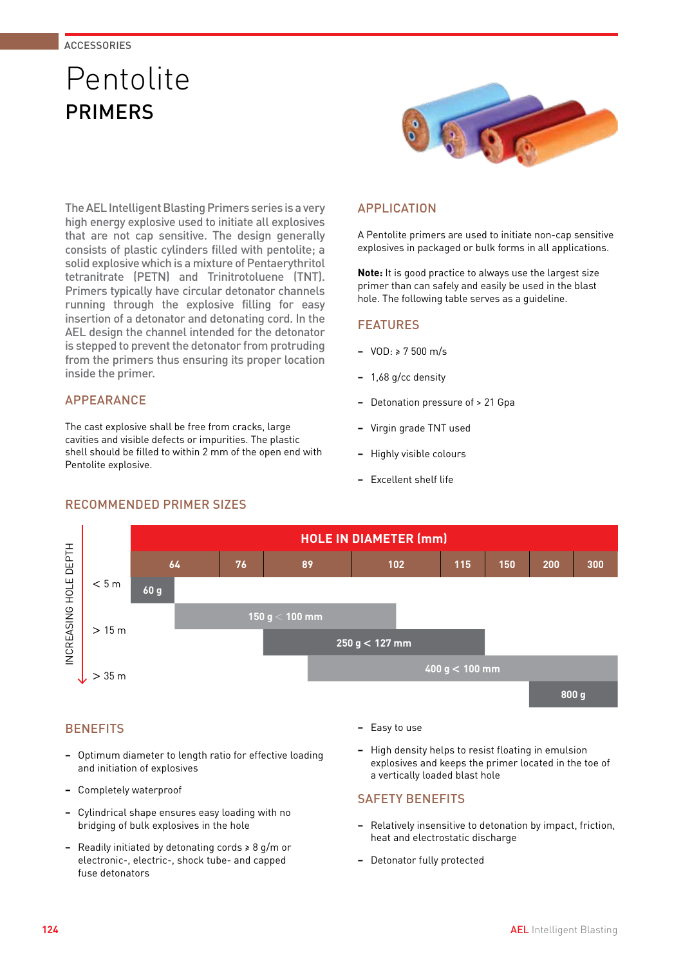### Pentolite PRIMERS



The AEL Intelligent Blasting Primers series is a very high energy explosive used to initiate all explosives that are not cap sensitive. The design generally consists of plastic cylinders filled with pentolite; a solid explosive which is a mixture of Pentaerythritol tetranitrate (PETN) and Trinitrotoluene (TNT). Primers typically have circular detonator channels running through the explosive filling for easy insertion of a detonator and detonating cord. In the AEL design the channel intended for the detonator is stepped to prevent the detonator from protruding from the primers thus ensuring its proper location inside the primer.

#### **APPFARANCE**

The cast explosive shall be free from cracks, large cavities and visible defects or impurities. The plastic shell should be filled to within 2 mm of the open end with Pentolite explosive.

#### APPLICATION

A Pentolite primers are used to initiate non-cap sensitive explosives in packaged or bulk forms in all applications.

**Note:** It is good practice to always use the largest size primer than can safely and easily be used in the blast hole. The following table serves as a guideline.

#### FEATURES

- **−** VOD: ≥ 7 500 m/s
- **−** 1,68 g/cc density
- **−** Detonation pressure of > 21 Gpa
- **−** Virgin grade TNT used
- **−** Highly visible colours
- **−** Excellent shelf life



### **BENEFITS**

- **−** Optimum diameter to length ratio for effective loading and initiation of explosives
- **−** Completely waterproof
- **−** Cylindrical shape ensures easy loading with no bridging of bulk explosives in the hole
- **−** Readily initiated by detonating cords ≥ 8 g/m or electronic-, electric-, shock tube- and capped fuse detonators
- **−** Easy to use
- **−** High density helps to resist floating in emulsion explosives and keeps the primer located in the toe of a vertically loaded blast hole

#### SAFETY BENEFITS

- **−** Relatively insensitive to detonation by impact, friction, heat and electrostatic discharge
- **−** Detonator fully protected

#### **124 AEL** Intelligent Blasting

#### RECOMMENDED PRIMER SIZES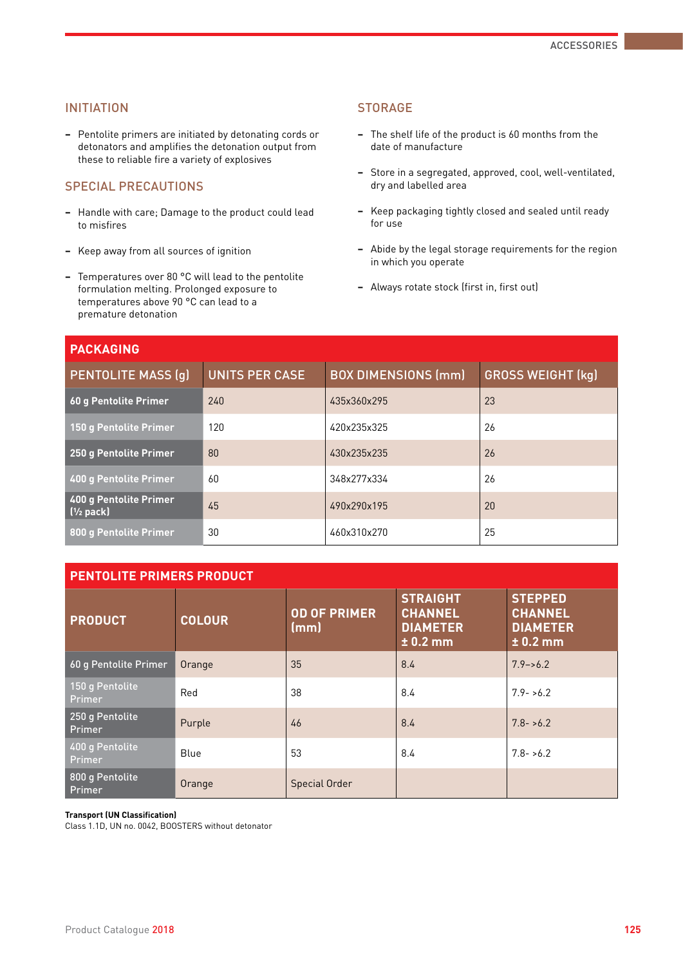#### INITIATION

**−** Pentolite primers are initiated by detonating cords or detonators and amplifies the detonation output from these to reliable fire a variety of explosives

#### SPECIAL PRECAUTIONS

- **−** Handle with care; Damage to the product could lead to misfires
- **−** Keep away from all sources of ignition
- **−** Temperatures over 80 °C will lead to the pentolite formulation melting. Prolonged exposure to temperatures above 90 °C can lead to a premature detonation

#### **STORAGE**

- **−** The shelf life of the product is 60 months from the date of manufacture
- **−** Store in a segregated, approved, cool, well-ventilated, dry and labelled area
- **−** Keep packaging tightly closed and sealed until ready for use
- **−** Abide by the legal storage requirements for the region in which you operate
- **−** Always rotate stock (first in, first out)

| <b>PACKAGING</b>                       |                |                            |                          |
|----------------------------------------|----------------|----------------------------|--------------------------|
| <b>PENTOLITE MASS (g)</b>              | UNITS PER CASE | <b>BOX DIMENSIONS (mm)</b> | <b>GROSS WEIGHT (kg)</b> |
| 60 g Pentolite Primer                  | 240            | 435x360x295                | 23                       |
| 150 g Pentolite Primer                 | 120            | 420x235x325                | 26                       |
| 250 g Pentolite Primer                 | 80             | 430x235x235                | 26                       |
| 400 g Pentolite Primer                 | 60             | 348x277x334                | 26                       |
| 400 g Pentolite Primer<br>$(y_2$ pack) | 45             | 490x290x195                | 20                       |
| 800 g Pentolite Primer                 | 30             | 460x310x270                | 25                       |

#### **PENTOLITE PRIMERS PRODUCT**

| <b>PRODUCT</b>                   | <b>COLOUR</b> | OD OF PRIMER<br>(mm) | <b>STRAIGHT</b><br><b>CHANNEL</b><br><b>DIAMETER</b><br>$\pm$ 0.2 mm | <b>STEPPED</b><br><b>CHANNEL</b><br><b>DIAMETER</b><br>$± 0.2$ mm |
|----------------------------------|---------------|----------------------|----------------------------------------------------------------------|-------------------------------------------------------------------|
| 60 g Pentolite Primer            | Orange        | 35                   | 8.4                                                                  | $7.9 - 6.2$                                                       |
| 150 g Pentolite<br><b>Primer</b> | Red           | 38                   | 8.4                                                                  | $7.9 - 6.2$                                                       |
| 250 g Pentolite<br><b>Primer</b> | Purple        | 46                   | 8.4                                                                  | $7.8 - 5.2$                                                       |
| 400 g Pentolite<br><b>Primer</b> | Blue          | 53                   | 8.4                                                                  | $7.8 - 6.2$                                                       |
| 800 g Pentolite<br><b>Primer</b> | Orange        | <b>Special Order</b> |                                                                      |                                                                   |

#### **Transport (UN Classification)**

Class 1.1D, UN no. 0042, BOOSTERS without detonator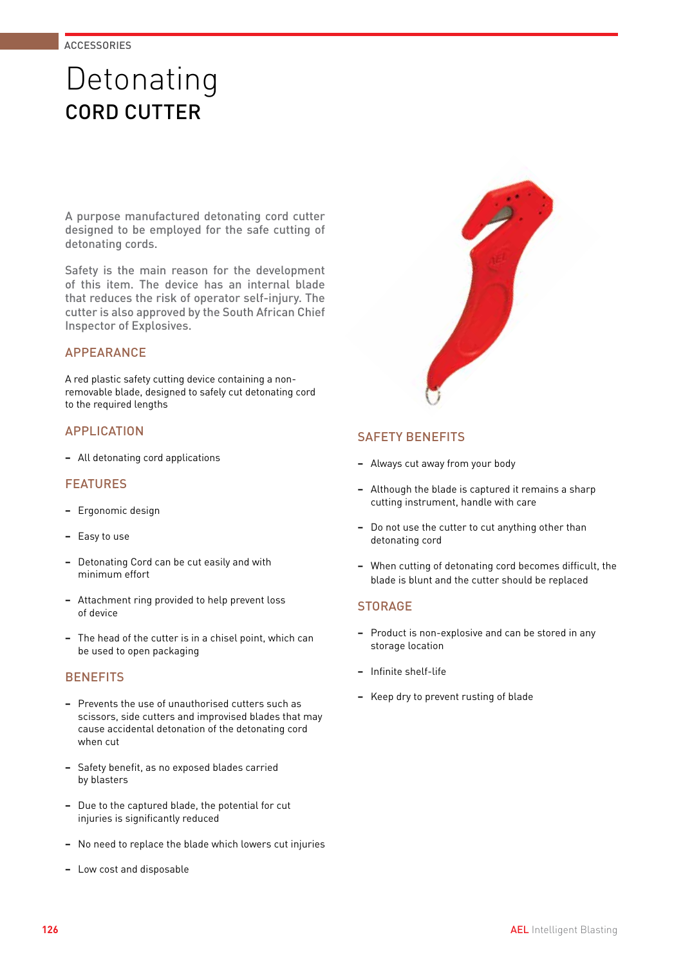### Detonating CORD CUTTER

A purpose manufactured detonating cord cutter designed to be employed for the safe cutting of detonating cords.

Safety is the main reason for the development of this item. The device has an internal blade that reduces the risk of operator self-injury. The cutter is also approved by the South African Chief Inspector of Explosives.

#### APPEARANCE

A red plastic safety cutting device containing a nonremovable blade, designed to safely cut detonating cord to the required lengths

#### APPLICATION

**−** All detonating cord applications

#### FEATURES

- **−** Ergonomic design
- **−** Easy to use
- **−** Detonating Cord can be cut easily and with minimum effort
- **−** Attachment ring provided to help prevent loss of device
- **−** The head of the cutter is in a chisel point, which can be used to open packaging

#### **BENEFITS**

- **−** Prevents the use of unauthorised cutters such as scissors, side cutters and improvised blades that may cause accidental detonation of the detonating cord when cut
- **−** Safety benefit, as no exposed blades carried by blasters
- **−** Due to the captured blade, the potential for cut injuries is significantly reduced
- **−** No need to replace the blade which lowers cut injuries
- **−** Low cost and disposable

#### SAFETY BENEFITS

- **−** Always cut away from your body
- **−** Although the blade is captured it remains a sharp cutting instrument, handle with care
- **−** Do not use the cutter to cut anything other than detonating cord
- **−** When cutting of detonating cord becomes difficult, the blade is blunt and the cutter should be replaced

#### **STORAGE**

- **−** Product is non-explosive and can be stored in any storage location
- **−** Infinite shelf-life
- **−** Keep dry to prevent rusting of blade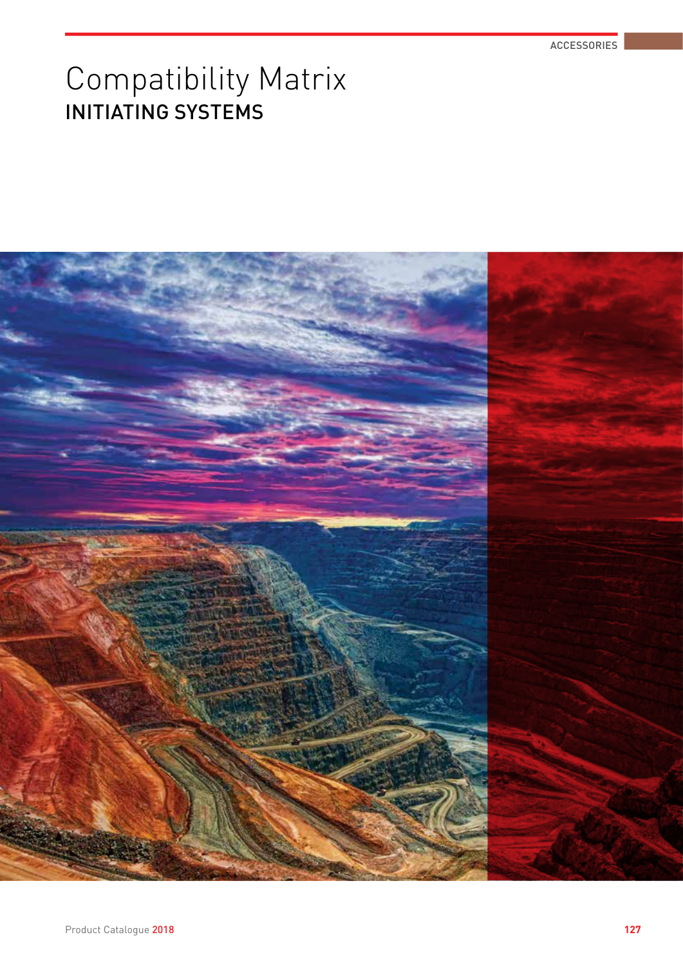## Compatibility Matrix INITIATING SYSTEMS

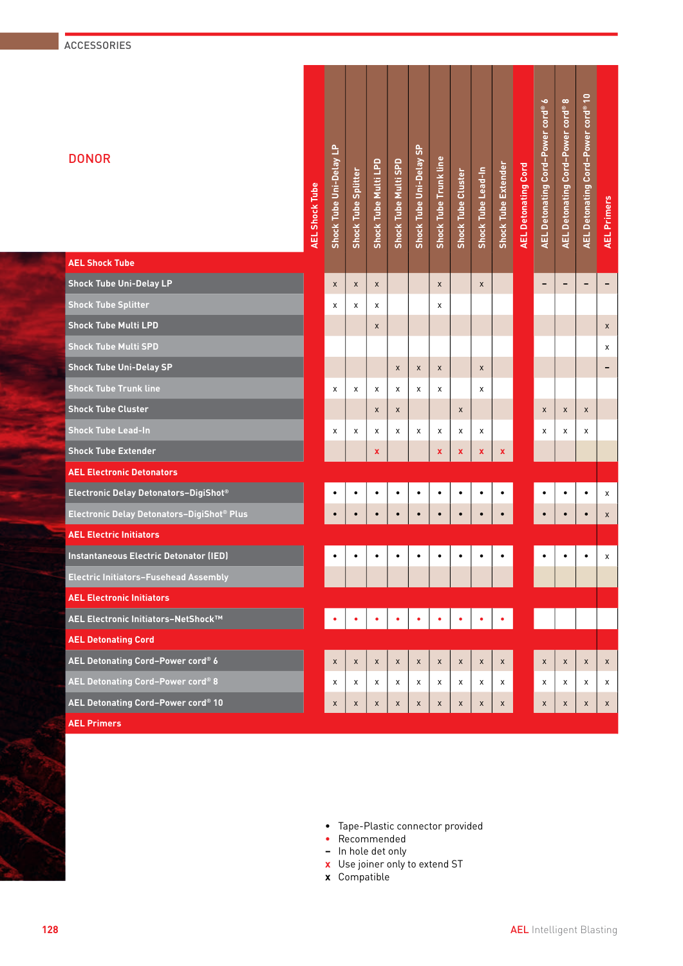#### ACCESSORIES

| <b>AEL Shock Tube</b><br><b>Shock Tube Uni-Delay LP</b><br>$\mathsf X$<br>$\mathsf X$<br>$\mathsf X$<br>X<br>$\qquad \qquad \blacksquare$<br>$\overline{\phantom{a}}$<br>$\qquad \qquad \blacksquare$<br>X<br>-<br><b>Shock Tube Splitter</b><br>x<br>X<br>x<br>х<br><b>Shock Tube Multi LPD</b><br>$\pmb{\mathsf{X}}$<br>X<br><b>Shock Tube Multi SPD</b><br>х<br><b>Shock Tube Uni-Delay SP</b><br>$\mathsf X$<br>X<br>X<br>X<br><b>Shock Tube Trunk line</b><br>x<br>X<br>X<br>Χ<br>х<br>Х<br>х<br><b>Shock Tube Cluster</b><br>$\pmb{\times}$<br>X<br>$\pmb{\times}$<br>$\pmb{\chi}$<br>$\pmb{\mathsf{X}}$<br>X<br><b>Shock Tube Lead-In</b><br>x<br>X<br>Х<br>x<br>X<br>X<br>X<br>Х<br>х<br>X<br>х<br><b>Shock Tube Extender</b><br>$\mathbf x$<br>$\mathbf x$<br>X<br>$\mathbf x$<br>$\pmb{\mathsf{x}}$<br><b>AEL Electronic Detonators</b><br>Electronic Delay Detonators-DigiShot®<br>٠<br>$\bullet$<br>$\bullet$<br>٠<br>$\bullet$<br>$\bullet$<br>$\bullet$<br>$\bullet$<br>X<br>٠<br>Electronic Delay Detonators-DigiShot® Plus<br>$\bullet$<br>$\bullet$<br>$\bullet$<br>$\bullet$<br>$\bullet$<br>$\bullet$<br>$\mathsf X$<br><b>AEL Electric Initiators</b><br>Instantaneous Electric Detonator (IED)<br>٠<br>$\bullet$<br>$\bullet$<br>$\bullet$<br>$\bullet$<br>$\bullet$<br>$\bullet$<br>$\bullet$<br>X<br>$\bullet$<br>Electric Initiators-Fusehead Assembly<br><b>AEL Electronic Initiators</b><br>AEL Electronic Initiators-NetShock™<br><b>AEL Detonating Cord</b><br>AEL Detonating Cord-Power cord® 6<br>$\mathsf X$<br>$\pmb{\mathsf{x}}$<br>$\mathsf X$<br>X<br>$\mathsf X$<br>$\pmb{\times}$<br>X<br>$\mathsf X$<br>X<br>X<br>X<br>$\mathsf X$<br>$\mathsf X$<br>AEL Detonating Cord-Power cord® 8<br>X<br>X<br>X<br>X<br>X<br>x<br>X<br>X<br>X<br>X<br>X<br>X<br>X<br>AEL Detonating Cord-Power cord® 10<br>$\mathsf X$<br>$\mathsf X$<br>X<br>$\mathsf X$<br>$\mathsf X$<br>X<br>X<br>X<br>X<br>X<br>X<br>$\mathsf{x}$<br>X<br><b>AEL Primers</b> | <b>DONOR</b> | <b>AEL Shock Tube</b> | Shock Tube Uni-Delay LP | Shock Tube Splitter | Shock Tube Multi LPD | Shock Tube Multi SPD | Shock Tube Uni-Delay SP | <b>Shock Tube Trunk line</b> | Shock Tube Cluster | Shock Tube Lead-In | <b>Shock Tube Extender</b> | <b>AEL Detonating Cord</b> | AEL Detonating Cord-Power cord® 6 | $\infty$<br>AEL Detonating Cord-Power cord® | AEL Detonating Cord-Power cord <sup>®</sup> 10 | <b>AEL Primers</b> |
|-------------------------------------------------------------------------------------------------------------------------------------------------------------------------------------------------------------------------------------------------------------------------------------------------------------------------------------------------------------------------------------------------------------------------------------------------------------------------------------------------------------------------------------------------------------------------------------------------------------------------------------------------------------------------------------------------------------------------------------------------------------------------------------------------------------------------------------------------------------------------------------------------------------------------------------------------------------------------------------------------------------------------------------------------------------------------------------------------------------------------------------------------------------------------------------------------------------------------------------------------------------------------------------------------------------------------------------------------------------------------------------------------------------------------------------------------------------------------------------------------------------------------------------------------------------------------------------------------------------------------------------------------------------------------------------------------------------------------------------------------------------------------------------------------------------------------------------------------------------------------------------------------------------------------------------------------------------------------------|--------------|-----------------------|-------------------------|---------------------|----------------------|----------------------|-------------------------|------------------------------|--------------------|--------------------|----------------------------|----------------------------|-----------------------------------|---------------------------------------------|------------------------------------------------|--------------------|
|                                                                                                                                                                                                                                                                                                                                                                                                                                                                                                                                                                                                                                                                                                                                                                                                                                                                                                                                                                                                                                                                                                                                                                                                                                                                                                                                                                                                                                                                                                                                                                                                                                                                                                                                                                                                                                                                                                                                                                               |              |                       |                         |                     |                      |                      |                         |                              |                    |                    |                            |                            |                                   |                                             |                                                |                    |
|                                                                                                                                                                                                                                                                                                                                                                                                                                                                                                                                                                                                                                                                                                                                                                                                                                                                                                                                                                                                                                                                                                                                                                                                                                                                                                                                                                                                                                                                                                                                                                                                                                                                                                                                                                                                                                                                                                                                                                               |              |                       |                         |                     |                      |                      |                         |                              |                    |                    |                            |                            |                                   |                                             |                                                |                    |
|                                                                                                                                                                                                                                                                                                                                                                                                                                                                                                                                                                                                                                                                                                                                                                                                                                                                                                                                                                                                                                                                                                                                                                                                                                                                                                                                                                                                                                                                                                                                                                                                                                                                                                                                                                                                                                                                                                                                                                               |              |                       |                         |                     |                      |                      |                         |                              |                    |                    |                            |                            |                                   |                                             |                                                |                    |
|                                                                                                                                                                                                                                                                                                                                                                                                                                                                                                                                                                                                                                                                                                                                                                                                                                                                                                                                                                                                                                                                                                                                                                                                                                                                                                                                                                                                                                                                                                                                                                                                                                                                                                                                                                                                                                                                                                                                                                               |              |                       |                         |                     |                      |                      |                         |                              |                    |                    |                            |                            |                                   |                                             |                                                |                    |
|                                                                                                                                                                                                                                                                                                                                                                                                                                                                                                                                                                                                                                                                                                                                                                                                                                                                                                                                                                                                                                                                                                                                                                                                                                                                                                                                                                                                                                                                                                                                                                                                                                                                                                                                                                                                                                                                                                                                                                               |              |                       |                         |                     |                      |                      |                         |                              |                    |                    |                            |                            |                                   |                                             |                                                |                    |
|                                                                                                                                                                                                                                                                                                                                                                                                                                                                                                                                                                                                                                                                                                                                                                                                                                                                                                                                                                                                                                                                                                                                                                                                                                                                                                                                                                                                                                                                                                                                                                                                                                                                                                                                                                                                                                                                                                                                                                               |              |                       |                         |                     |                      |                      |                         |                              |                    |                    |                            |                            |                                   |                                             |                                                |                    |
|                                                                                                                                                                                                                                                                                                                                                                                                                                                                                                                                                                                                                                                                                                                                                                                                                                                                                                                                                                                                                                                                                                                                                                                                                                                                                                                                                                                                                                                                                                                                                                                                                                                                                                                                                                                                                                                                                                                                                                               |              |                       |                         |                     |                      |                      |                         |                              |                    |                    |                            |                            |                                   |                                             |                                                |                    |
|                                                                                                                                                                                                                                                                                                                                                                                                                                                                                                                                                                                                                                                                                                                                                                                                                                                                                                                                                                                                                                                                                                                                                                                                                                                                                                                                                                                                                                                                                                                                                                                                                                                                                                                                                                                                                                                                                                                                                                               |              |                       |                         |                     |                      |                      |                         |                              |                    |                    |                            |                            |                                   |                                             |                                                |                    |
|                                                                                                                                                                                                                                                                                                                                                                                                                                                                                                                                                                                                                                                                                                                                                                                                                                                                                                                                                                                                                                                                                                                                                                                                                                                                                                                                                                                                                                                                                                                                                                                                                                                                                                                                                                                                                                                                                                                                                                               |              |                       |                         |                     |                      |                      |                         |                              |                    |                    |                            |                            |                                   |                                             |                                                |                    |
|                                                                                                                                                                                                                                                                                                                                                                                                                                                                                                                                                                                                                                                                                                                                                                                                                                                                                                                                                                                                                                                                                                                                                                                                                                                                                                                                                                                                                                                                                                                                                                                                                                                                                                                                                                                                                                                                                                                                                                               |              |                       |                         |                     |                      |                      |                         |                              |                    |                    |                            |                            |                                   |                                             |                                                |                    |
|                                                                                                                                                                                                                                                                                                                                                                                                                                                                                                                                                                                                                                                                                                                                                                                                                                                                                                                                                                                                                                                                                                                                                                                                                                                                                                                                                                                                                                                                                                                                                                                                                                                                                                                                                                                                                                                                                                                                                                               |              |                       |                         |                     |                      |                      |                         |                              |                    |                    |                            |                            |                                   |                                             |                                                |                    |
|                                                                                                                                                                                                                                                                                                                                                                                                                                                                                                                                                                                                                                                                                                                                                                                                                                                                                                                                                                                                                                                                                                                                                                                                                                                                                                                                                                                                                                                                                                                                                                                                                                                                                                                                                                                                                                                                                                                                                                               |              |                       |                         |                     |                      |                      |                         |                              |                    |                    |                            |                            |                                   |                                             |                                                |                    |
|                                                                                                                                                                                                                                                                                                                                                                                                                                                                                                                                                                                                                                                                                                                                                                                                                                                                                                                                                                                                                                                                                                                                                                                                                                                                                                                                                                                                                                                                                                                                                                                                                                                                                                                                                                                                                                                                                                                                                                               |              |                       |                         |                     |                      |                      |                         |                              |                    |                    |                            |                            |                                   |                                             |                                                |                    |
|                                                                                                                                                                                                                                                                                                                                                                                                                                                                                                                                                                                                                                                                                                                                                                                                                                                                                                                                                                                                                                                                                                                                                                                                                                                                                                                                                                                                                                                                                                                                                                                                                                                                                                                                                                                                                                                                                                                                                                               |              |                       |                         |                     |                      |                      |                         |                              |                    |                    |                            |                            |                                   |                                             |                                                |                    |
|                                                                                                                                                                                                                                                                                                                                                                                                                                                                                                                                                                                                                                                                                                                                                                                                                                                                                                                                                                                                                                                                                                                                                                                                                                                                                                                                                                                                                                                                                                                                                                                                                                                                                                                                                                                                                                                                                                                                                                               |              |                       |                         |                     |                      |                      |                         |                              |                    |                    |                            |                            |                                   |                                             |                                                |                    |
|                                                                                                                                                                                                                                                                                                                                                                                                                                                                                                                                                                                                                                                                                                                                                                                                                                                                                                                                                                                                                                                                                                                                                                                                                                                                                                                                                                                                                                                                                                                                                                                                                                                                                                                                                                                                                                                                                                                                                                               |              |                       |                         |                     |                      |                      |                         |                              |                    |                    |                            |                            |                                   |                                             |                                                |                    |
|                                                                                                                                                                                                                                                                                                                                                                                                                                                                                                                                                                                                                                                                                                                                                                                                                                                                                                                                                                                                                                                                                                                                                                                                                                                                                                                                                                                                                                                                                                                                                                                                                                                                                                                                                                                                                                                                                                                                                                               |              |                       |                         |                     |                      |                      |                         |                              |                    |                    |                            |                            |                                   |                                             |                                                |                    |
|                                                                                                                                                                                                                                                                                                                                                                                                                                                                                                                                                                                                                                                                                                                                                                                                                                                                                                                                                                                                                                                                                                                                                                                                                                                                                                                                                                                                                                                                                                                                                                                                                                                                                                                                                                                                                                                                                                                                                                               |              |                       |                         |                     |                      |                      |                         |                              |                    |                    |                            |                            |                                   |                                             |                                                |                    |
|                                                                                                                                                                                                                                                                                                                                                                                                                                                                                                                                                                                                                                                                                                                                                                                                                                                                                                                                                                                                                                                                                                                                                                                                                                                                                                                                                                                                                                                                                                                                                                                                                                                                                                                                                                                                                                                                                                                                                                               |              |                       |                         |                     |                      |                      |                         |                              |                    |                    |                            |                            |                                   |                                             |                                                |                    |
|                                                                                                                                                                                                                                                                                                                                                                                                                                                                                                                                                                                                                                                                                                                                                                                                                                                                                                                                                                                                                                                                                                                                                                                                                                                                                                                                                                                                                                                                                                                                                                                                                                                                                                                                                                                                                                                                                                                                                                               |              |                       |                         |                     |                      |                      |                         |                              |                    |                    |                            |                            |                                   |                                             |                                                |                    |
|                                                                                                                                                                                                                                                                                                                                                                                                                                                                                                                                                                                                                                                                                                                                                                                                                                                                                                                                                                                                                                                                                                                                                                                                                                                                                                                                                                                                                                                                                                                                                                                                                                                                                                                                                                                                                                                                                                                                                                               |              |                       |                         |                     |                      |                      |                         |                              |                    |                    |                            |                            |                                   |                                             |                                                |                    |
|                                                                                                                                                                                                                                                                                                                                                                                                                                                                                                                                                                                                                                                                                                                                                                                                                                                                                                                                                                                                                                                                                                                                                                                                                                                                                                                                                                                                                                                                                                                                                                                                                                                                                                                                                                                                                                                                                                                                                                               |              |                       |                         |                     |                      |                      |                         |                              |                    |                    |                            |                            |                                   |                                             |                                                |                    |

- **•** Tape-Plastic connector provided
- **•** Recommended
- **–** In hole det only
- **x** Use joiner only to extend ST
- **x** Compatible

 $\subseteq$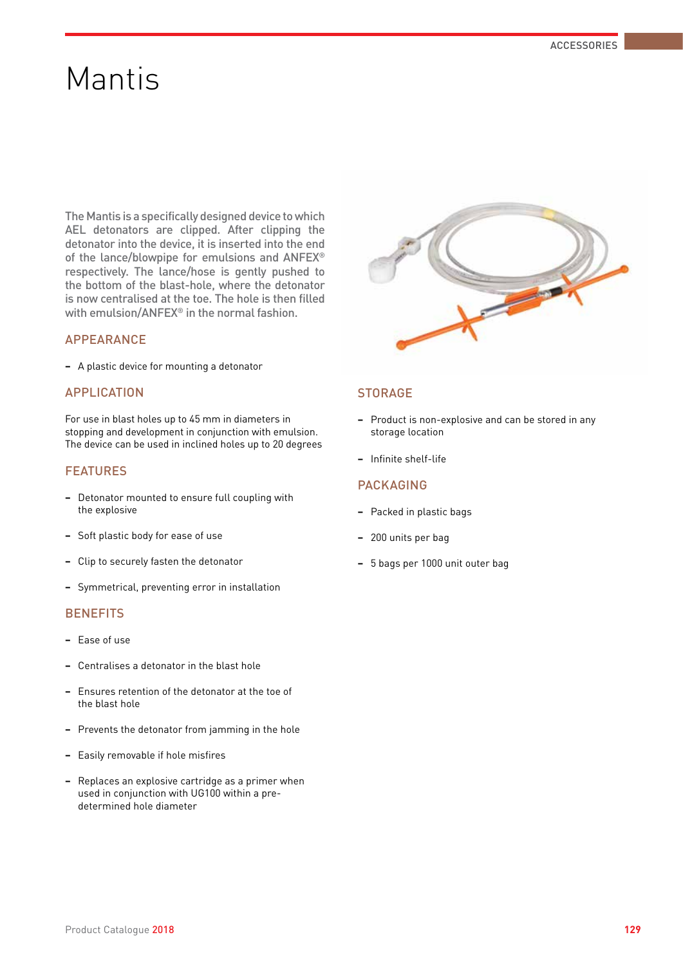## Mantis

The Mantis is a specifically designed device to which AEL detonators are clipped. After clipping the detonator into the device, it is inserted into the end of the lance/blowpipe for emulsions and ANFEX® respectively. The lance/hose is gently pushed to the bottom of the blast-hole, where the detonator is now centralised at the toe. The hole is then filled with emulsion/ANFEX® in the normal fashion.

#### APPEARANCE

**−** A plastic device for mounting a detonator

#### APPLICATION

For use in blast holes up to 45 mm in diameters in stopping and development in conjunction with emulsion. The device can be used in inclined holes up to 20 degrees

#### FEATURES

- **−** Detonator mounted to ensure full coupling with the explosive
- **−** Soft plastic body for ease of use
- **−** Clip to securely fasten the detonator
- **−** Symmetrical, preventing error in installation

#### **BENEFITS**

- **−** Ease of use
- **−** Centralises a detonator in the blast hole
- **−** Ensures retention of the detonator at the toe of the blast hole
- **−** Prevents the detonator from jamming in the hole
- **−** Easily removable if hole misfires
- **−** Replaces an explosive cartridge as a primer when used in conjunction with UG100 within a predetermined hole diameter



#### **STORAGE**

- **−** Product is non-explosive and can be stored in any storage location
- **−** Infinite shelf-life

#### PACKAGING

- **−** Packed in plastic bags
- **−** 200 units per bag
- **−** 5 bags per 1000 unit outer bag